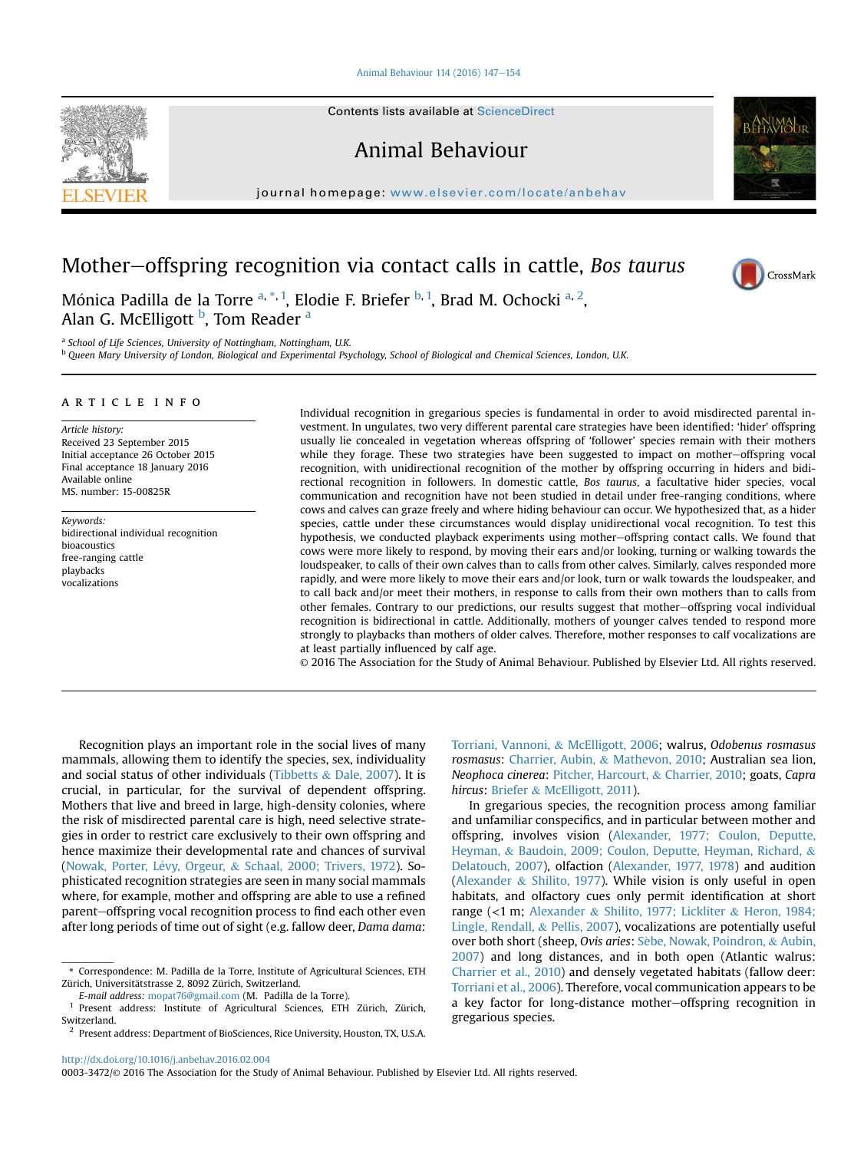#### [Animal Behaviour 114 \(2016\) 147](http://dx.doi.org/10.1016/j.anbehav.2016.02.004)-[154](http://dx.doi.org/10.1016/j.anbehav.2016.02.004)

Contents lists available at ScienceDirect

Animal Behaviour

journal homepage: [www.elsevier.com/locate/anbehav](http://www.elsevier.com/locate/anbehav)

# Mother-offspring recognition via contact calls in cattle, Bos taurus

Mónica Padilla de la Torre <sup>a, \*, 1</sup>, Elodie F. Briefer <sup>b, 1</sup>, Brad M. Ochocki <sup>a, 2</sup>, Alan G. McElligott <sup>b</sup>, Tom Reader <sup>a</sup>

<sup>a</sup> School of Life Sciences, University of Nottingham, Nottingham, U.K.

<sup>b</sup> Queen Mary University of London, Biological and Experimental Psychology, School of Biological and Chemical Sciences, London, U.K.

## article info

Article history: Received 23 September 2015 Initial acceptance 26 October 2015 Final acceptance 18 January 2016 Available online MS. number: 15-00825R

Keywords: bidirectional individual recognition bioacoustics free-ranging cattle playbacks vocalizations

Individual recognition in gregarious species is fundamental in order to avoid misdirected parental investment. In ungulates, two very different parental care strategies have been identified: 'hider' offspring usually lie concealed in vegetation whereas offspring of 'follower' species remain with their mothers while they forage. These two strategies have been suggested to impact on mother-offspring vocal recognition, with unidirectional recognition of the mother by offspring occurring in hiders and bidirectional recognition in followers. In domestic cattle, Bos taurus, a facultative hider species, vocal communication and recognition have not been studied in detail under free-ranging conditions, where cows and calves can graze freely and where hiding behaviour can occur. We hypothesized that, as a hider species, cattle under these circumstances would display unidirectional vocal recognition. To test this hypothesis, we conducted playback experiments using mother-offspring contact calls. We found that cows were more likely to respond, by moving their ears and/or looking, turning or walking towards the loudspeaker, to calls of their own calves than to calls from other calves. Similarly, calves responded more rapidly, and were more likely to move their ears and/or look, turn or walk towards the loudspeaker, and to call back and/or meet their mothers, in response to calls from their own mothers than to calls from other females. Contrary to our predictions, our results suggest that mother-offspring vocal individual recognition is bidirectional in cattle. Additionally, mothers of younger calves tended to respond more strongly to playbacks than mothers of older calves. Therefore, mother responses to calf vocalizations are at least partially influenced by calf age.

© 2016 The Association for the Study of Animal Behaviour. Published by Elsevier Ltd. All rights reserved.

Recognition plays an important role in the social lives of many mammals, allowing them to identify the species, sex, individuality and social status of other individuals ([Tibbetts](#page-7-0) & [Dale, 2007\)](#page-7-0). It is crucial, in particular, for the survival of dependent offspring. Mothers that live and breed in large, high-density colonies, where the risk of misdirected parental care is high, need selective strategies in order to restrict care exclusively to their own offspring and hence maximize their developmental rate and chances of survival (Nowak, Porter, Lévy, Orgeur, & [Schaal, 2000; Trivers, 1972\)](#page-7-0). Sophisticated recognition strategies are seen in many social mammals where, for example, mother and offspring are able to use a refined parent-offspring vocal recognition process to find each other even after long periods of time out of sight (e.g. fallow deer, Dama dama:

E-mail address: [mopat76@gmail.com](mailto:mopat76@gmail.com) (M. Padilla de la Torre).

<http://dx.doi.org/10.1016/j.anbehav.2016.02.004>

0003-3472/© 2016 The Association for the Study of Animal Behaviour. Published by Elsevier Ltd. All rights reserved.

[Torriani, Vannoni,](#page-7-0) & [McElligott, 2006](#page-7-0); walrus, Odobenus rosmasus rosmasus: [Charrier, Aubin,](#page-6-0) & [Mathevon, 2010](#page-6-0); Australian sea lion, Neophoca cinerea: [Pitcher, Harcourt,](#page-7-0) & [Charrier, 2010;](#page-7-0) goats, Capra hircus: [Briefer](#page-6-0) & [McElligott, 2011](#page-6-0)).

In gregarious species, the recognition process among familiar and unfamiliar conspecifics, and in particular between mother and offspring, involves vision ([Alexander, 1977; Coulon, Deputte,](#page-6-0) [Heyman,](#page-6-0) & [Baudoin, 2009; Coulon, Deputte, Heyman, Richard,](#page-6-0) & [Delatouch, 2007](#page-6-0)), olfaction ([Alexander, 1977, 1978](#page-6-0)) and audition ([Alexander](#page-6-0) & [Shilito, 1977](#page-6-0)). While vision is only useful in open habitats, and olfactory cues only permit identification at short range (<1 m; [Alexander](#page-6-0) & [Shilito, 1977; Lickliter](#page-6-0) & [Heron, 1984;](#page-6-0) [Lingle, Rendall,](#page-6-0) & [Pellis, 2007](#page-6-0)), vocalizations are potentially useful over both short (sheep, Ovis aries: Sèbe, Nowak, Poindron, & [Aubin,](#page-7-0) [2007\)](#page-7-0) and long distances, and in both open (Atlantic walrus: [Charrier et al., 2010\)](#page-6-0) and densely vegetated habitats (fallow deer: [Torriani et al., 2006\)](#page-7-0). Therefore, vocal communication appears to be a key factor for long-distance mother-offspring recognition in gregarious species.



CrossMark

<sup>\*</sup> Correspondence: M. Padilla de la Torre, Institute of Agricultural Sciences, ETH Zürich, Universitätstrasse 2, 8092 Zürich, Switzerland.

<sup>1</sup> Present address: Institute of Agricultural Sciences, ETH Zürich, Zürich, Switzerland.

<sup>2</sup> Present address: Department of BioSciences, Rice University, Houston, TX, U.S.A.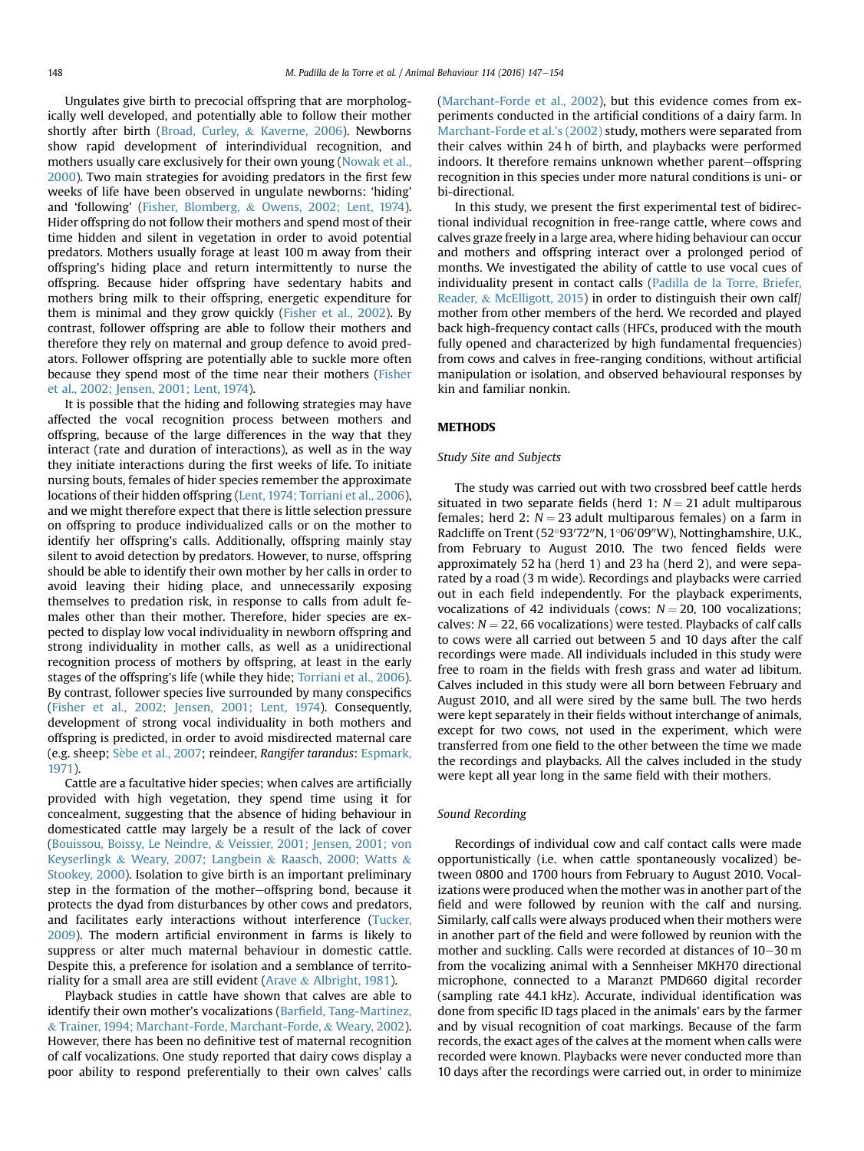Ungulates give birth to precocial offspring that are morphologically well developed, and potentially able to follow their mother shortly after birth [\(Broad, Curley,](#page-6-0) & [Kaverne, 2006](#page-6-0)). Newborns show rapid development of interindividual recognition, and mothers usually care exclusively for their own young ([Nowak et al.,](#page-7-0) [2000](#page-7-0)). Two main strategies for avoiding predators in the first few weeks of life have been observed in ungulate newborns: 'hiding' and 'following' [\(Fisher, Blomberg,](#page-7-0) & [Owens, 2002; Lent, 1974\)](#page-7-0). Hider offspring do not follow their mothers and spend most of their time hidden and silent in vegetation in order to avoid potential predators. Mothers usually forage at least 100 m away from their offspring's hiding place and return intermittently to nurse the offspring. Because hider offspring have sedentary habits and mothers bring milk to their offspring, energetic expenditure for them is minimal and they grow quickly ([Fisher et al., 2002](#page-7-0)). By contrast, follower offspring are able to follow their mothers and therefore they rely on maternal and group defence to avoid predators. Follower offspring are potentially able to suckle more often because they spend most of the time near their mothers [\(Fisher](#page-7-0) [et al., 2002; Jensen, 2001; Lent, 1974](#page-7-0)).

It is possible that the hiding and following strategies may have affected the vocal recognition process between mothers and offspring, because of the large differences in the way that they interact (rate and duration of interactions), as well as in the way they initiate interactions during the first weeks of life. To initiate nursing bouts, females of hider species remember the approximate locations of their hidden offspring ([Lent, 1974; Torriani et al., 2006\)](#page-7-0), and we might therefore expect that there is little selection pressure on offspring to produce individualized calls or on the mother to identify her offspring's calls. Additionally, offspring mainly stay silent to avoid detection by predators. However, to nurse, offspring should be able to identify their own mother by her calls in order to avoid leaving their hiding place, and unnecessarily exposing themselves to predation risk, in response to calls from adult females other than their mother. Therefore, hider species are expected to display low vocal individuality in newborn offspring and strong individuality in mother calls, as well as a unidirectional recognition process of mothers by offspring, at least in the early stages of the offspring's life (while they hide; [Torriani et al., 2006\)](#page-7-0). By contrast, follower species live surrounded by many conspecifics ([Fisher et al., 2002; Jensen, 2001; Lent, 1974\)](#page-7-0). Consequently, development of strong vocal individuality in both mothers and offspring is predicted, in order to avoid misdirected maternal care (e.g. sheep; Sèbe et al., 2007; reindeer, Rangifer tarandus: [Espmark,](#page-7-0) [1971\)](#page-7-0).

Cattle are a facultative hider species; when calves are artificially provided with high vegetation, they spend time using it for concealment, suggesting that the absence of hiding behaviour in domesticated cattle may largely be a result of the lack of cover ([Bouissou, Boissy, Le Neindre,](#page-6-0) & [Veissier, 2001; Jensen, 2001; von](#page-6-0) [Keyserlingk](#page-6-0) & [Weary, 2007; Langbein](#page-6-0) & [Raasch, 2000; Watts](#page-6-0) & [Stookey, 2000](#page-6-0)). Isolation to give birth is an important preliminary step in the formation of the mother-offspring bond, because it protects the dyad from disturbances by other cows and predators, and facilitates early interactions without interference ([Tucker,](#page-7-0) [2009](#page-7-0)). The modern artificial environment in farms is likely to suppress or alter much maternal behaviour in domestic cattle. Despite this, a preference for isolation and a semblance of territo-riality for a small area are still evident [\(Arave](#page-6-0)  $\&$  [Albright, 1981](#page-6-0)).

Playback studies in cattle have shown that calves are able to identify their own mother's vocalizations (Barfi[eld, Tang-Martinez,](#page-6-0) & [Trainer, 1994; Marchant-Forde, Marchant-Forde,](#page-6-0) & [Weary, 2002\)](#page-6-0). However, there has been no definitive test of maternal recognition of calf vocalizations. One study reported that dairy cows display a poor ability to respond preferentially to their own calves' calls ([Marchant-Forde et al., 2002\)](#page-7-0), but this evidence comes from experiments conducted in the artificial conditions of a dairy farm. In [Marchant-Forde et al.'s \(2002\)](#page-7-0) study, mothers were separated from their calves within 24 h of birth, and playbacks were performed indoors. It therefore remains unknown whether parent-offspring recognition in this species under more natural conditions is uni- or bi-directional.

In this study, we present the first experimental test of bidirectional individual recognition in free-range cattle, where cows and calves graze freely in a large area, where hiding behaviour can occur and mothers and offspring interact over a prolonged period of months. We investigated the ability of cattle to use vocal cues of individuality present in contact calls ([Padilla de la Torre, Briefer,](#page-7-0) [Reader,](#page-7-0) & [McElligott, 2015\)](#page-7-0) in order to distinguish their own calf/ mother from other members of the herd. We recorded and played back high-frequency contact calls (HFCs, produced with the mouth fully opened and characterized by high fundamental frequencies) from cows and calves in free-ranging conditions, without artificial manipulation or isolation, and observed behavioural responses by kin and familiar nonkin.

# **METHODS**

## Study Site and Subjects

The study was carried out with two crossbred beef cattle herds situated in two separate fields (herd 1:  $N = 21$  adult multiparous females; herd 2:  $N = 23$  adult multiparous females) on a farm in Radcliffe on Trent (52°93'72"N, 1°06'09"W), Nottinghamshire, U.K., from February to August 2010. The two fenced fields were approximately 52 ha (herd 1) and 23 ha (herd 2), and were separated by a road (3 m wide). Recordings and playbacks were carried out in each field independently. For the playback experiments, vocalizations of 42 individuals (cows:  $N = 20$ , 100 vocalizations; calves:  $N = 22$ , 66 vocalizations) were tested. Playbacks of calf calls to cows were all carried out between 5 and 10 days after the calf recordings were made. All individuals included in this study were free to roam in the fields with fresh grass and water ad libitum. Calves included in this study were all born between February and August 2010, and all were sired by the same bull. The two herds were kept separately in their fields without interchange of animals, except for two cows, not used in the experiment, which were transferred from one field to the other between the time we made the recordings and playbacks. All the calves included in the study were kept all year long in the same field with their mothers.

# Sound Recording

Recordings of individual cow and calf contact calls were made opportunistically (i.e. when cattle spontaneously vocalized) between 0800 and 1700 hours from February to August 2010. Vocalizations were produced when the mother was in another part of the field and were followed by reunion with the calf and nursing. Similarly, calf calls were always produced when their mothers were in another part of the field and were followed by reunion with the mother and suckling. Calls were recorded at distances of  $10-30$  m from the vocalizing animal with a Sennheiser MKH70 directional microphone, connected to a Maranzt PMD660 digital recorder (sampling rate 44.1 kHz). Accurate, individual identification was done from specific ID tags placed in the animals' ears by the farmer and by visual recognition of coat markings. Because of the farm records, the exact ages of the calves at the moment when calls were recorded were known. Playbacks were never conducted more than 10 days after the recordings were carried out, in order to minimize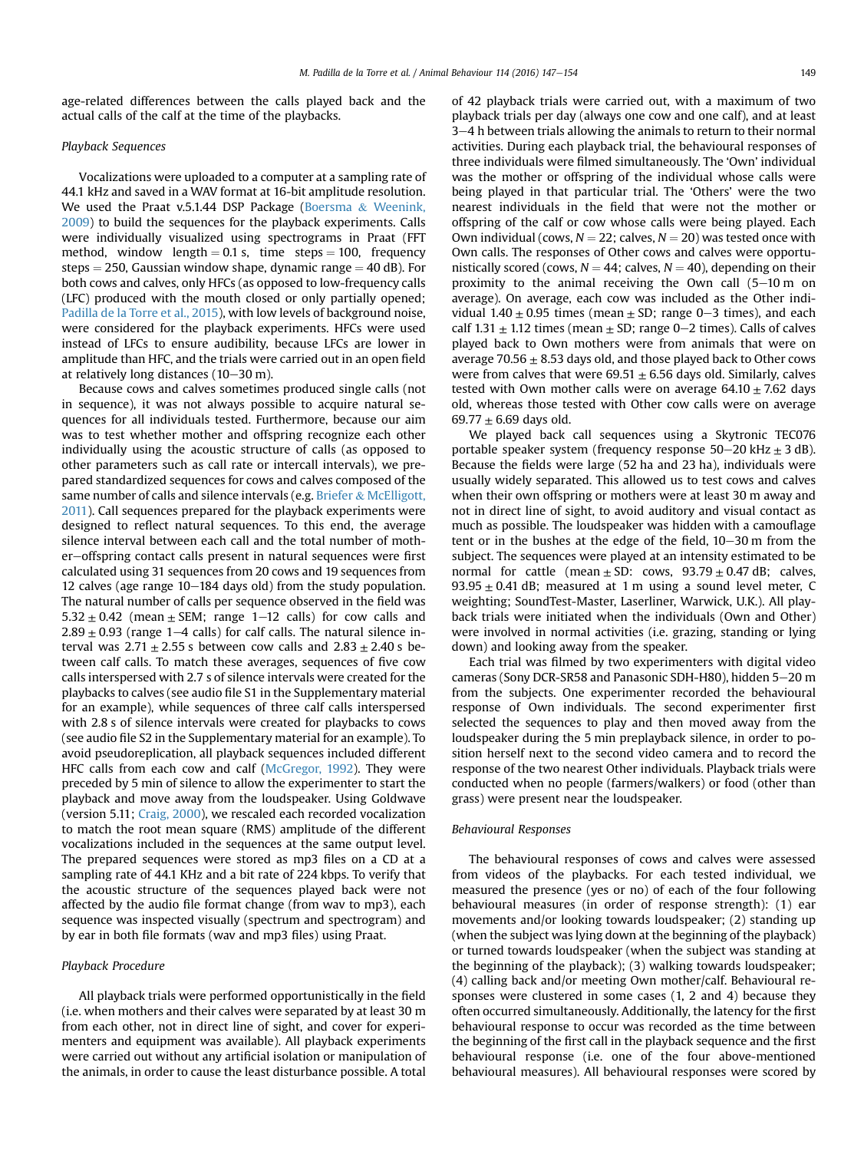age-related differences between the calls played back and the actual calls of the calf at the time of the playbacks.

## Playback Sequences

Vocalizations were uploaded to a computer at a sampling rate of 44.1 kHz and saved in a WAV format at 16-bit amplitude resolution. We used the Praat v.5.1.44 DSP Package [\(Boersma](#page-6-0) & [Weenink,](#page-6-0) [2009\)](#page-6-0) to build the sequences for the playback experiments. Calls were individually visualized using spectrograms in Praat (FFT method, window length  $= 0.1$  s, time steps  $= 100$ , frequency steps  $= 250$ , Gaussian window shape, dynamic range  $= 40$  dB). For both cows and calves, only HFCs (as opposed to low-frequency calls (LFC) produced with the mouth closed or only partially opened; [Padilla de la Torre et al., 2015\)](#page-7-0), with low levels of background noise, were considered for the playback experiments. HFCs were used instead of LFCs to ensure audibility, because LFCs are lower in amplitude than HFC, and the trials were carried out in an open field at relatively long distances  $(10-30 \text{ m})$ .

Because cows and calves sometimes produced single calls (not in sequence), it was not always possible to acquire natural sequences for all individuals tested. Furthermore, because our aim was to test whether mother and offspring recognize each other individually using the acoustic structure of calls (as opposed to other parameters such as call rate or intercall intervals), we prepared standardized sequences for cows and calves composed of the same number of calls and silence intervals (e.g. [Briefer](#page-6-0) & [McElligott,](#page-6-0) [2011](#page-6-0)). Call sequences prepared for the playback experiments were designed to reflect natural sequences. To this end, the average silence interval between each call and the total number of mother-offspring contact calls present in natural sequences were first calculated using 31 sequences from 20 cows and 19 sequences from 12 calves (age range  $10-184$  days old) from the study population. The natural number of calls per sequence observed in the field was  $5.32 \pm 0.42$  (mean  $\pm$  SEM; range 1–12 calls) for cow calls and  $2.89 \pm 0.93$  (range 1–4 calls) for calf calls. The natural silence interval was  $2.71 \pm 2.55$  s between cow calls and  $2.83 \pm 2.40$  s between calf calls. To match these averages, sequences of five cow calls interspersed with 2.7 s of silence intervals were created for the playbacks to calves (see audio file S1 in the Supplementary material for an example), while sequences of three calf calls interspersed with 2.8 s of silence intervals were created for playbacks to cows (see audio file S2 in the Supplementary material for an example). To avoid pseudoreplication, all playback sequences included different HFC calls from each cow and calf [\(McGregor, 1992\)](#page-7-0). They were preceded by 5 min of silence to allow the experimenter to start the playback and move away from the loudspeaker. Using Goldwave (version 5.11; [Craig, 2000\)](#page-7-0), we rescaled each recorded vocalization to match the root mean square (RMS) amplitude of the different vocalizations included in the sequences at the same output level. The prepared sequences were stored as mp3 files on a CD at a sampling rate of 44.1 KHz and a bit rate of 224 kbps. To verify that the acoustic structure of the sequences played back were not affected by the audio file format change (from wav to mp3), each sequence was inspected visually (spectrum and spectrogram) and by ear in both file formats (wav and mp3 files) using Praat.

#### Playback Procedure

All playback trials were performed opportunistically in the field (i.e. when mothers and their calves were separated by at least 30 m from each other, not in direct line of sight, and cover for experimenters and equipment was available). All playback experiments were carried out without any artificial isolation or manipulation of the animals, in order to cause the least disturbance possible. A total

of 42 playback trials were carried out, with a maximum of two playback trials per day (always one cow and one calf), and at least 3-4 h between trials allowing the animals to return to their normal activities. During each playback trial, the behavioural responses of three individuals were filmed simultaneously. The 'Own' individual was the mother or offspring of the individual whose calls were being played in that particular trial. The 'Others' were the two nearest individuals in the field that were not the mother or offspring of the calf or cow whose calls were being played. Each Own individual (cows,  $N = 22$ ; calves,  $N = 20$ ) was tested once with Own calls. The responses of Other cows and calves were opportunistically scored (cows,  $N = 44$ ; calves,  $N = 40$ ), depending on their proximity to the animal receiving the Own call  $(5-10 \text{ m})$  on average). On average, each cow was included as the Other individual  $1.40 \pm 0.95$  times (mean  $\pm$  SD; range 0–3 times), and each calf 1.31  $\pm$  1.12 times (mean  $\pm$  SD; range 0–2 times). Calls of calves played back to Own mothers were from animals that were on average 70.56  $\pm$  8.53 days old, and those played back to Other cows were from calves that were  $69.51 \pm 6.56$  days old. Similarly, calves tested with Own mother calls were on average  $64.10 \pm 7.62$  days old, whereas those tested with Other cow calls were on average 69.77  $\pm$  6.69 days old.

We played back call sequences using a Skytronic TEC076 portable speaker system (frequency response  $50-20$  kHz  $\pm$  3 dB). Because the fields were large (52 ha and 23 ha), individuals were usually widely separated. This allowed us to test cows and calves when their own offspring or mothers were at least 30 m away and not in direct line of sight, to avoid auditory and visual contact as much as possible. The loudspeaker was hidden with a camouflage tent or in the bushes at the edge of the field,  $10-30$  m from the subject. The sequences were played at an intensity estimated to be normal for cattle (mean  $\pm$  SD: cows, 93.79  $\pm$  0.47 dB; calves,  $93.95 \pm 0.41$  dB; measured at 1 m using a sound level meter, C weighting; SoundTest-Master, Laserliner, Warwick, U.K.). All playback trials were initiated when the individuals (Own and Other) were involved in normal activities (i.e. grazing, standing or lying down) and looking away from the speaker.

Each trial was filmed by two experimenters with digital video cameras (Sony DCR-SR58 and Panasonic SDH-H80), hidden 5–20 m from the subjects. One experimenter recorded the behavioural response of Own individuals. The second experimenter first selected the sequences to play and then moved away from the loudspeaker during the 5 min preplayback silence, in order to position herself next to the second video camera and to record the response of the two nearest Other individuals. Playback trials were conducted when no people (farmers/walkers) or food (other than grass) were present near the loudspeaker.

## Behavioural Responses

The behavioural responses of cows and calves were assessed from videos of the playbacks. For each tested individual, we measured the presence (yes or no) of each of the four following behavioural measures (in order of response strength): (1) ear movements and/or looking towards loudspeaker; (2) standing up (when the subject was lying down at the beginning of the playback) or turned towards loudspeaker (when the subject was standing at the beginning of the playback); (3) walking towards loudspeaker; (4) calling back and/or meeting Own mother/calf. Behavioural responses were clustered in some cases (1, 2 and 4) because they often occurred simultaneously. Additionally, the latency for the first behavioural response to occur was recorded as the time between the beginning of the first call in the playback sequence and the first behavioural response (i.e. one of the four above-mentioned behavioural measures). All behavioural responses were scored by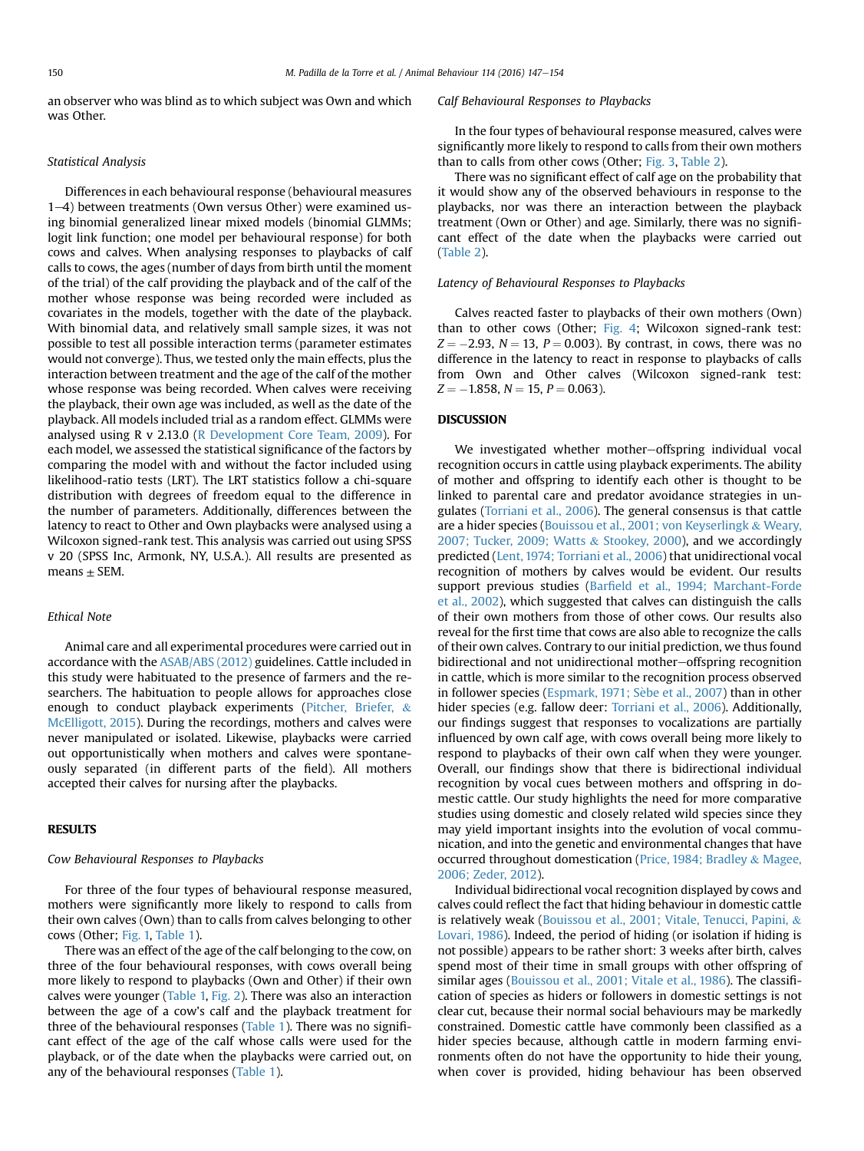an observer who was blind as to which subject was Own and which was Other.

# Statistical Analysis

Differences in each behavioural response (behavioural measures  $1-4$ ) between treatments (Own versus Other) were examined using binomial generalized linear mixed models (binomial GLMMs; logit link function; one model per behavioural response) for both cows and calves. When analysing responses to playbacks of calf calls to cows, the ages (number of days from birth until the moment of the trial) of the calf providing the playback and of the calf of the mother whose response was being recorded were included as covariates in the models, together with the date of the playback. With binomial data, and relatively small sample sizes, it was not possible to test all possible interaction terms (parameter estimates would not converge). Thus, we tested only the main effects, plus the interaction between treatment and the age of the calf of the mother whose response was being recorded. When calves were receiving the playback, their own age was included, as well as the date of the playback. All models included trial as a random effect. GLMMs were analysed using R v 2.13.0 ([R Development Core Team, 2009\)](#page-7-0). For each model, we assessed the statistical significance of the factors by comparing the model with and without the factor included using likelihood-ratio tests (LRT). The LRT statistics follow a chi-square distribution with degrees of freedom equal to the difference in the number of parameters. Additionally, differences between the latency to react to Other and Own playbacks were analysed using a Wilcoxon signed-rank test. This analysis was carried out using SPSS v 20 (SPSS Inc, Armonk, NY, U.S.A.). All results are presented as means  $\pm$  SEM.

#### Ethical Note

Animal care and all experimental procedures were carried out in accordance with the [ASAB/ABS \(2012\)](#page-6-0) guidelines. Cattle included in this study were habituated to the presence of farmers and the researchers. The habituation to people allows for approaches close enough to conduct playback experiments [\(Pitcher, Briefer,](#page-7-0) & [McElligott, 2015\)](#page-7-0). During the recordings, mothers and calves were never manipulated or isolated. Likewise, playbacks were carried out opportunistically when mothers and calves were spontaneously separated (in different parts of the field). All mothers accepted their calves for nursing after the playbacks.

## RESULTS

## Cow Behavioural Responses to Playbacks

For three of the four types of behavioural response measured, mothers were significantly more likely to respond to calls from their own calves (Own) than to calls from calves belonging to other cows (Other; [Fig. 1,](#page-4-0) [Table 1](#page-4-0)).

There was an effect of the age of the calf belonging to the cow, on three of the four behavioural responses, with cows overall being more likely to respond to playbacks (Own and Other) if their own calves were younger [\(Table 1,](#page-4-0) [Fig. 2\)](#page-5-0). There was also an interaction between the age of a cow's calf and the playback treatment for three of the behavioural responses ([Table 1\)](#page-4-0). There was no significant effect of the age of the calf whose calls were used for the playback, or of the date when the playbacks were carried out, on any of the behavioural responses [\(Table 1](#page-4-0)).

#### Calf Behavioural Responses to Playbacks

In the four types of behavioural response measured, calves were significantly more likely to respond to calls from their own mothers than to calls from other cows (Other; [Fig. 3,](#page-5-0) [Table 2\)](#page-6-0).

There was no significant effect of calf age on the probability that it would show any of the observed behaviours in response to the playbacks, nor was there an interaction between the playback treatment (Own or Other) and age. Similarly, there was no significant effect of the date when the playbacks were carried out ([Table 2\)](#page-6-0).

## Latency of Behavioural Responses to Playbacks

Calves reacted faster to playbacks of their own mothers (Own) than to other cows (Other; [Fig. 4;](#page-6-0) Wilcoxon signed-rank test:  $Z = -2.93$ ,  $N = 13$ ,  $P = 0.003$ ). By contrast, in cows, there was no difference in the latency to react in response to playbacks of calls from Own and Other calves (Wilcoxon signed-rank test:  $Z = -1.858$ ,  $N = 15$ ,  $P = 0.063$ ).

# DISCUSSION

We investigated whether mother-offspring individual vocal recognition occurs in cattle using playback experiments. The ability of mother and offspring to identify each other is thought to be linked to parental care and predator avoidance strategies in ungulates [\(Torriani et al., 2006](#page-7-0)). The general consensus is that cattle are a hider species ([Bouissou et al., 2001; von Keyserlingk](#page-6-0) & [Weary,](#page-6-0) [2007; Tucker, 2009; Watts](#page-6-0) & [Stookey, 2000\)](#page-6-0), and we accordingly predicted ([Lent, 1974; Torriani et al., 2006\)](#page-7-0) that unidirectional vocal recognition of mothers by calves would be evident. Our results support previous studies (Barfi[eld et al., 1994; Marchant-Forde](#page-6-0) [et al., 2002](#page-6-0)), which suggested that calves can distinguish the calls of their own mothers from those of other cows. Our results also reveal for the first time that cows are also able to recognize the calls of their own calves. Contrary to our initial prediction, we thus found bidirectional and not unidirectional mother-offspring recognition in cattle, which is more similar to the recognition process observed in follower species [\(Espmark, 1971; S](#page-7-0)è[be et al., 2007](#page-7-0)) than in other hider species (e.g. fallow deer: [Torriani et al., 2006](#page-7-0)). Additionally, our findings suggest that responses to vocalizations are partially influenced by own calf age, with cows overall being more likely to respond to playbacks of their own calf when they were younger. Overall, our findings show that there is bidirectional individual recognition by vocal cues between mothers and offspring in domestic cattle. Our study highlights the need for more comparative studies using domestic and closely related wild species since they may yield important insights into the evolution of vocal communication, and into the genetic and environmental changes that have occurred throughout domestication [\(Price, 1984; Bradley](#page-7-0) & [Magee,](#page-7-0) [2006; Zeder, 2012](#page-7-0)).

Individual bidirectional vocal recognition displayed by cows and calves could reflect the fact that hiding behaviour in domestic cattle is relatively weak [\(Bouissou et al., 2001; Vitale, Tenucci, Papini,](#page-6-0) & [Lovari, 1986](#page-6-0)). Indeed, the period of hiding (or isolation if hiding is not possible) appears to be rather short: 3 weeks after birth, calves spend most of their time in small groups with other offspring of similar ages [\(Bouissou et al., 2001; Vitale et al., 1986](#page-6-0)). The classification of species as hiders or followers in domestic settings is not clear cut, because their normal social behaviours may be markedly constrained. Domestic cattle have commonly been classified as a hider species because, although cattle in modern farming environments often do not have the opportunity to hide their young, when cover is provided, hiding behaviour has been observed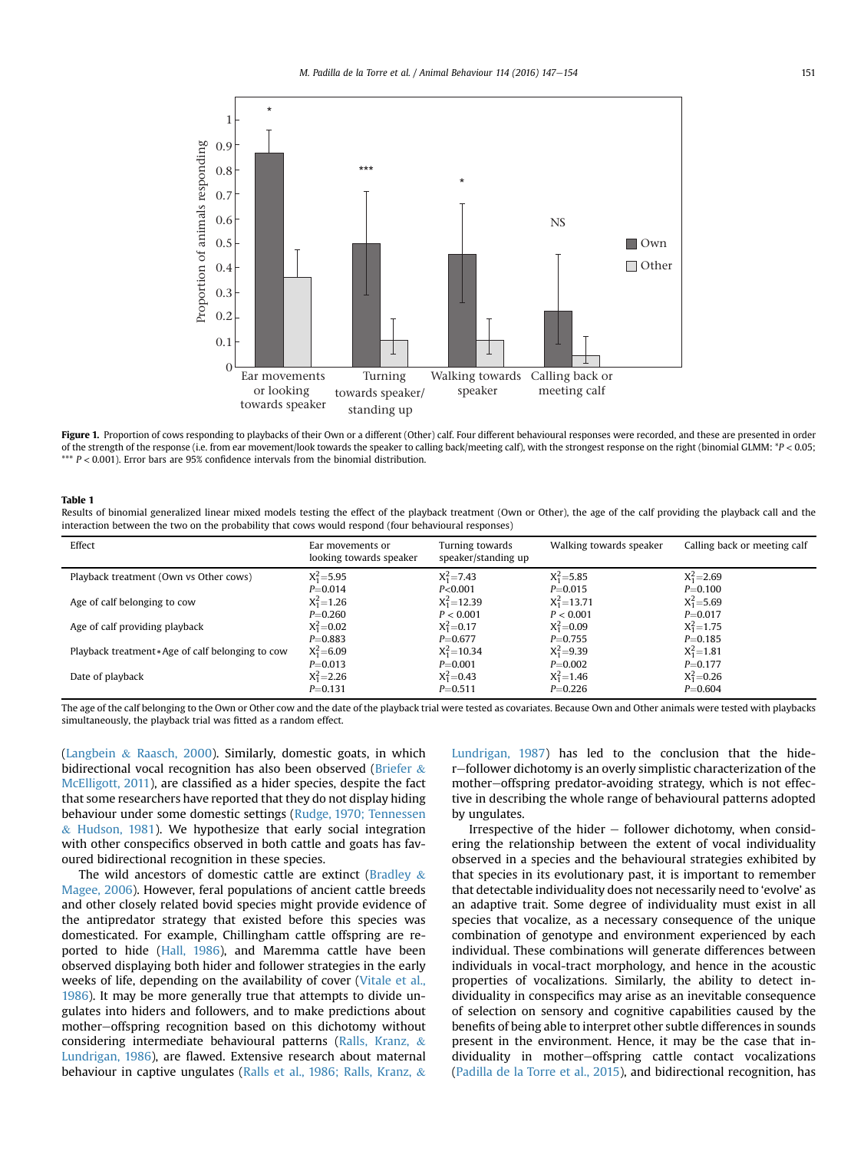<span id="page-4-0"></span>

Figure 1. Proportion of cows responding to playbacks of their Own or a different (Other) calf. Four different behavioural responses were recorded, and these are presented in order of the strength of the response (i.e. from ear movement/look towards the speaker to calling back/meeting calf), with the strongest response on the right (binomial GLMM: \*P < 0.05; \*\*\*  $P < 0.001$ ). Error bars are 95% confidence intervals from the binomial distribution.

#### Table 1

Results of binomial generalized linear mixed models testing the effect of the playback treatment (Own or Other), the age of the calf providing the playback call and the interaction between the two on the probability that cows would respond (four behavioural responses)

| Effect                                            | Ear movements or<br>looking towards speaker | Turning towards<br>speaker/standing up | Walking towards speaker | Calling back or meeting calf |
|---------------------------------------------------|---------------------------------------------|----------------------------------------|-------------------------|------------------------------|
| Playback treatment (Own vs Other cows)            | $X_1^2 = 5.95$                              | $X_1^2 = 7.43$                         | $X_1^2 = 5.85$          | $X_1^2 = 2.69$               |
|                                                   | $P = 0.014$                                 | P<0.001                                | $P = 0.015$             | $P = 0.100$                  |
| Age of calf belonging to cow                      | $X_1^2 = 1.26$                              | $X_1^2$ = 12.39                        | $X_1^2$ = 13.71         | $X_1^2 = 5.69$               |
|                                                   | $P = 0.260$                                 | P < 0.001                              | P < 0.001               | $P = 0.017$                  |
| Age of calf providing playback                    | $X_1^2 = 0.02$                              | $X_1^2 = 0.17$                         | $X_1^2 = 0.09$          | $X_1^2 = 1.75$               |
|                                                   | $P = 0.883$                                 | $P = 0.677$                            | $P = 0.755$             | $P = 0.185$                  |
| Playback treatment * Age of calf belonging to cow | $X_1^2 = 6.09$                              | $X_1^2 = 10.34$                        | $X_1^2 = 9.39$          | $X_1^2 = 1.81$               |
|                                                   | $P = 0.013$                                 | $P = 0.001$                            | $P = 0.002$             | $P = 0.177$                  |
| Date of playback                                  | $X_1^2 = 2.26$                              | $X_1^2 = 0.43$                         | $X_1^2 = 1.46$          | $X_1^2 = 0.26$               |
|                                                   | $P = 0.131$                                 | $P = 0.511$                            | $P = 0.226$             | $P = 0.604$                  |

The age of the calf belonging to the Own or Other cow and the date of the playback trial were tested as covariates. Because Own and Other animals were tested with playbacks simultaneously, the playback trial was fitted as a random effect.

([Langbein](#page-7-0) & [Raasch, 2000](#page-7-0)). Similarly, domestic goats, in which bidirectional vocal recognition has also been observed ([Briefer](#page-6-0)  $\&$ [McElligott, 2011](#page-6-0)), are classified as a hider species, despite the fact that some researchers have reported that they do not display hiding behaviour under some domestic settings [\(Rudge, 1970; Tennessen](#page-7-0)  $&$  [Hudson, 1981\)](#page-7-0). We hypothesize that early social integration with other conspecifics observed in both cattle and goats has favoured bidirectional recognition in these species.

The wild ancestors of domestic cattle are extinct ([Bradley](#page-6-0)  $\&$ [Magee, 2006](#page-6-0)). However, feral populations of ancient cattle breeds and other closely related bovid species might provide evidence of the antipredator strategy that existed before this species was domesticated. For example, Chillingham cattle offspring are reported to hide [\(Hall, 1986](#page-7-0)), and Maremma cattle have been observed displaying both hider and follower strategies in the early weeks of life, depending on the availability of cover [\(Vitale et al.,](#page-7-0) [1986\)](#page-7-0). It may be more generally true that attempts to divide ungulates into hiders and followers, and to make predictions about mother-offspring recognition based on this dichotomy without considering intermediate behavioural patterns ([Ralls, Kranz,](#page-7-0) & [Lundrigan, 1986](#page-7-0)), are flawed. Extensive research about maternal behaviour in captive ungulates ([Ralls et al., 1986; Ralls, Kranz,](#page-7-0) &

[Lundrigan, 1987](#page-7-0)) has led to the conclusion that the hider-follower dichotomy is an overly simplistic characterization of the mother-offspring predator-avoiding strategy, which is not effective in describing the whole range of behavioural patterns adopted by ungulates.

Irrespective of the hider  $-$  follower dichotomy, when considering the relationship between the extent of vocal individuality observed in a species and the behavioural strategies exhibited by that species in its evolutionary past, it is important to remember that detectable individuality does not necessarily need to 'evolve' as an adaptive trait. Some degree of individuality must exist in all species that vocalize, as a necessary consequence of the unique combination of genotype and environment experienced by each individual. These combinations will generate differences between individuals in vocal-tract morphology, and hence in the acoustic properties of vocalizations. Similarly, the ability to detect individuality in conspecifics may arise as an inevitable consequence of selection on sensory and cognitive capabilities caused by the benefits of being able to interpret other subtle differences in sounds present in the environment. Hence, it may be the case that individuality in mother-offspring cattle contact vocalizations ([Padilla de la Torre et al., 2015](#page-7-0)), and bidirectional recognition, has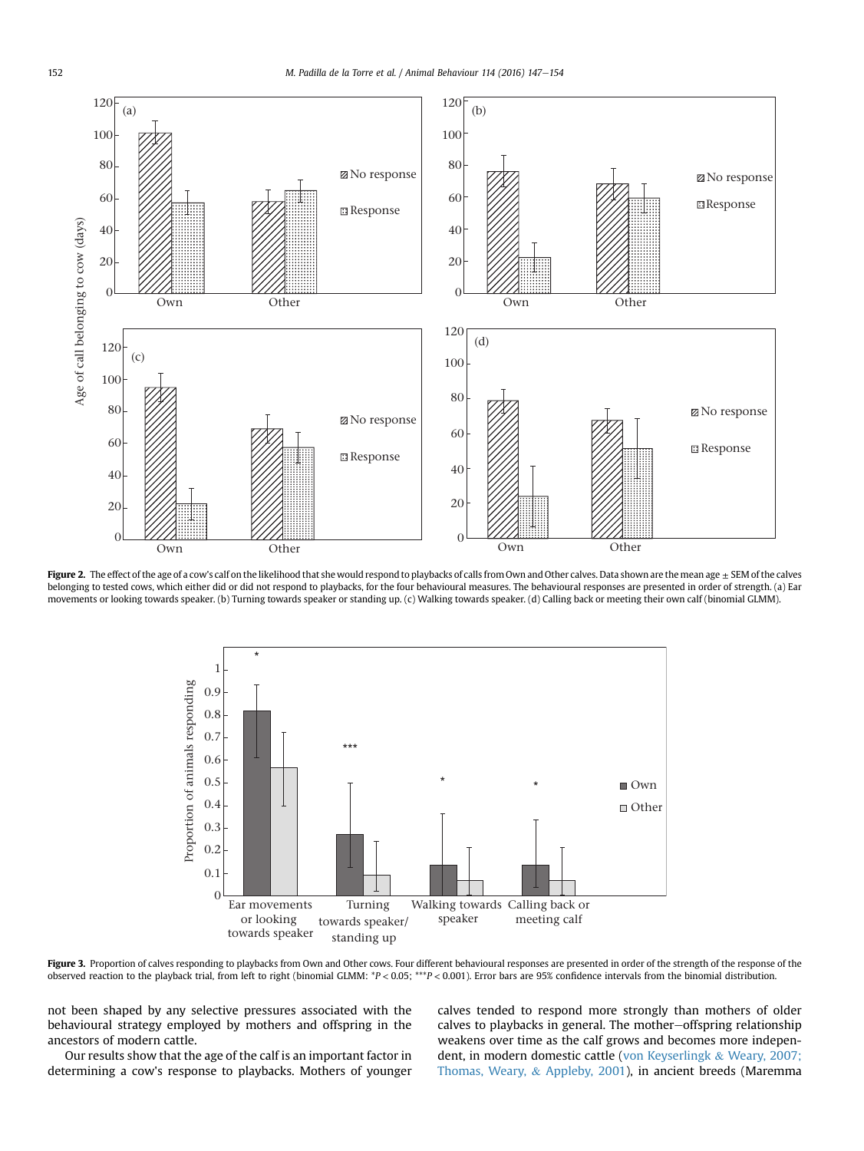<span id="page-5-0"></span>

Figure 2. The effect of the age of a cow's calf on the likelihood that she would respond to playbacks of calls from Own and Other calves. Data shown are the mean age ± SEM of the calves belonging to tested cows, which either did or did not respond to playbacks, for the four behavioural measures. The behavioural responses are presented in order of strength. (a) Ear movements or looking towards speaker. (b) Turning towards speaker or standing up. (c) Walking towards speaker. (d) Calling back or meeting their own calf (binomial GLMM).



Figure 3. Proportion of calves responding to playbacks from Own and Other cows. Four different behavioural responses are presented in order of the strength of the response of the observed reaction to the playback trial, from left to right (binomial GLMM: \*P < 0.05; \*\*\*P < 0.001). Error bars are 95% confidence intervals from the binomial distribution.

not been shaped by any selective pressures associated with the behavioural strategy employed by mothers and offspring in the ancestors of modern cattle.

Our results show that the age of the calf is an important factor in determining a cow's response to playbacks. Mothers of younger calves tended to respond more strongly than mothers of older calves to playbacks in general. The mother-offspring relationship weakens over time as the calf grows and becomes more independent, in modern domestic cattle ([von Keyserlingk](#page-7-0) & [Weary, 2007;](#page-7-0) [Thomas, Weary,](#page-7-0) & [Appleby, 2001\)](#page-7-0), in ancient breeds (Maremma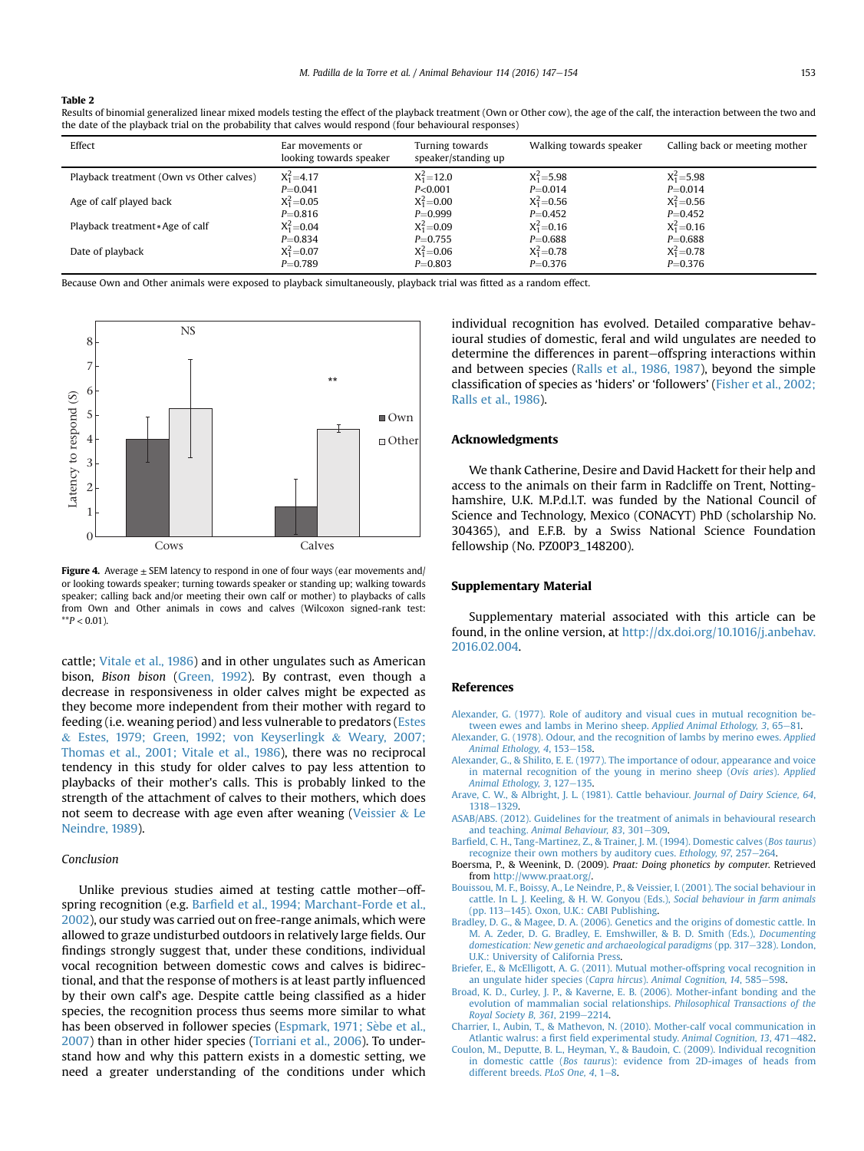#### <span id="page-6-0"></span>Table 2

Results of binomial generalized linear mixed models testing the effect of the playback treatment (Own or Other cow), the age of the calf, the interaction between the two and the date of the playback trial on the probability that calves would respond (four behavioural responses)

| Effect                                   | Ear movements or<br>looking towards speaker | Turning towards<br>speaker/standing up | Walking towards speaker | Calling back or meeting mother |
|------------------------------------------|---------------------------------------------|----------------------------------------|-------------------------|--------------------------------|
| Playback treatment (Own vs Other calves) | $X_1^2 = 4.17$                              | $X_1^2 = 12.0$                         | $X_1^2 = 5.98$          | $X_1^2 = 5.98$                 |
|                                          | $P = 0.041$                                 | P<0.001                                | $P = 0.014$             | $P = 0.014$                    |
| Age of calf played back                  | $X_1^2 = 0.05$                              | $X_1^2 = 0.00$                         | $X_1^2 = 0.56$          | $X_1^2 = 0.56$                 |
|                                          | $P = 0.816$                                 | $P = 0.999$                            | $P = 0.452$             | $P = 0.452$                    |
| Playback treatment * Age of calf         | $X_1^2 = 0.04$                              | $X_1^2 = 0.09$                         | $X_1^2 = 0.16$          | $X_1^2 = 0.16$                 |
|                                          | $P = 0.834$                                 | $P = 0.755$                            | $P = 0.688$             | $P = 0.688$                    |
| Date of playback                         | $X_1^2 = 0.07$                              | $X_1^2 = 0.06$                         | $X_1^2 = 0.78$          | $X_1^2 = 0.78$                 |
|                                          | $P = 0.789$                                 | $P = 0.803$                            | $P = 0.376$             | $P = 0.376$                    |

Because Own and Other animals were exposed to playback simultaneously, playback trial was fitted as a random effect.



Figure 4. Average  $\pm$  SEM latency to respond in one of four ways (ear movements and/ or looking towards speaker; turning towards speaker or standing up; walking towards speaker; calling back and/or meeting their own calf or mother) to playbacks of calls from Own and Other animals in cows and calves (Wilcoxon signed-rank test:  $*$  $P$  < 0.01).

cattle; [Vitale et al., 1986](#page-7-0)) and in other ungulates such as American bison, Bison bison ([Green, 1992\)](#page-7-0). By contrast, even though a decrease in responsiveness in older calves might be expected as they become more independent from their mother with regard to feeding (i.e. weaning period) and less vulnerable to predators [\(Estes](#page-7-0) & [Estes, 1979; Green, 1992; von Keyserlingk](#page-7-0) & [Weary, 2007;](#page-7-0) [Thomas et al., 2001; Vitale et al., 1986](#page-7-0)), there was no reciprocal tendency in this study for older calves to pay less attention to playbacks of their mother's calls. This is probably linked to the strength of the attachment of calves to their mothers, which does not seem to decrease with age even after weaning [\(Veissier](#page-7-0)  $&$  [Le](#page-7-0) [Neindre, 1989\)](#page-7-0).

## Conclusion

Unlike previous studies aimed at testing cattle mother-offspring recognition (e.g. Barfield et al., 1994; Marchant-Forde et al., 2002), our study was carried out on free-range animals, which were allowed to graze undisturbed outdoors in relatively large fields. Our findings strongly suggest that, under these conditions, individual vocal recognition between domestic cows and calves is bidirectional, and that the response of mothers is at least partly influenced by their own calf's age. Despite cattle being classified as a hider species, the recognition process thus seems more similar to what has been observed in follower species ([Espmark, 1971; S](#page-7-0)è[be et al.,](#page-7-0) [2007\)](#page-7-0) than in other hider species ([Torriani et al., 2006](#page-7-0)). To understand how and why this pattern exists in a domestic setting, we need a greater understanding of the conditions under which individual recognition has evolved. Detailed comparative behavioural studies of domestic, feral and wild ungulates are needed to determine the differences in parent-offspring interactions within and between species ([Ralls et al., 1986, 1987\)](#page-7-0), beyond the simple classification of species as 'hiders' or 'followers' ([Fisher et al., 2002;](#page-7-0) [Ralls et al., 1986](#page-7-0)).

## Acknowledgments

We thank Catherine, Desire and David Hackett for their help and access to the animals on their farm in Radcliffe on Trent, Nottinghamshire, U.K. M.P.d.l.T. was funded by the National Council of Science and Technology, Mexico (CONACYT) PhD (scholarship No. 304365), and E.F.B. by a Swiss National Science Foundation fellowship (No. PZ00P3\_148200).

#### Supplementary Material

Supplementary material associated with this article can be found, in the online version, at [http://dx.doi.org/10.1016/j.anbehav.](http://dx.doi.org/10.1016/j.anbehav.2016.02.004) [2016.02.004.](http://dx.doi.org/10.1016/j.anbehav.2016.02.004)

#### References

- Alexander, G. (1977). Role of auditory and visual cues in mutual recognition be-<br>[tween ewes and lambs in Merino sheep.](http://refhub.elsevier.com/S0003-3472(16)00044-0/sref1) Applied Animal Ethology, 3, 65–[81.](http://refhub.elsevier.com/S0003-3472(16)00044-0/sref1)
- [Alexander, G. \(1978\). Odour, and the recognition of lambs by merino ewes.](http://refhub.elsevier.com/S0003-3472(16)00044-0/sref2) Applied [Animal Ethology, 4](http://refhub.elsevier.com/S0003-3472(16)00044-0/sref2), 153-[158](http://refhub.elsevier.com/S0003-3472(16)00044-0/sref2).
- [Alexander, G., & Shilito, E. E. \(1977\). The importance of odour, appearance and voice](http://refhub.elsevier.com/S0003-3472(16)00044-0/sref3) [in maternal recognition of the young in merino sheep \(](http://refhub.elsevier.com/S0003-3472(16)00044-0/sref3)Ovis aries). Applied Animal Ethology,  $3, 127-135$  $3, 127-135$ .
- [Arave, C. W., & Albright, J. L. \(1981\). Cattle behaviour.](http://refhub.elsevier.com/S0003-3472(16)00044-0/sref4) Journal of Dairy Science, 64, [1318](http://refhub.elsevier.com/S0003-3472(16)00044-0/sref4)-[1329](http://refhub.elsevier.com/S0003-3472(16)00044-0/sref4).
- [ASAB/ABS. \(2012\). Guidelines for the treatment of animals in behavioural research](http://refhub.elsevier.com/S0003-3472(16)00044-0/sref5) and teaching. [Animal Behaviour, 83](http://refhub.elsevier.com/S0003-3472(16)00044-0/sref5), 301-[309](http://refhub.elsevier.com/S0003-3472(16)00044-0/sref5).
- Barfi[eld, C. H., Tang-Martinez, Z., & Trainer, J. M. \(1994\). Domestic calves \(](http://refhub.elsevier.com/S0003-3472(16)00044-0/sref6)Bos taurus) [recognize their own mothers by auditory cues.](http://refhub.elsevier.com/S0003-3472(16)00044-0/sref6) Ethology, 97, 257–[264.](http://refhub.elsevier.com/S0003-3472(16)00044-0/sref6)
- Boersma, P., & Weenink, D. (2009). Praat: Doing phonetics by computer. Retrieved from [http://www.praat.org/.](http://www.praat.org/)
- [Bouissou, M. F., Boissy, A., Le Neindre, P., & Veissier, I. \(2001\). The social behaviour in](http://refhub.elsevier.com/S0003-3472(16)00044-0/sref8) [cattle. In L. J. Keeling, & H. W. Gonyou \(Eds.\),](http://refhub.elsevier.com/S0003-3472(16)00044-0/sref8) Social behaviour in farm animals [\(pp. 113](http://refhub.elsevier.com/S0003-3472(16)00044-0/sref8)-[145\). Oxon, U.K.: CABI Publishing](http://refhub.elsevier.com/S0003-3472(16)00044-0/sref8).
- [Bradley, D. G., & Magee, D. A. \(2006\). Genetics and the origins of domestic cattle. In](http://refhub.elsevier.com/S0003-3472(16)00044-0/sref9) [M. A. Zeder, D. G. Bradley, E. Emshwiller, & B. D. Smith \(Eds.\),](http://refhub.elsevier.com/S0003-3472(16)00044-0/sref9) Documenting [domestication: New genetic and archaeological paradigms](http://refhub.elsevier.com/S0003-3472(16)00044-0/sref9) (pp. 317-[328\). London,](http://refhub.elsevier.com/S0003-3472(16)00044-0/sref9) [U.K.: University of California Press.](http://refhub.elsevier.com/S0003-3472(16)00044-0/sref9)
- [Briefer, E., & McElligott, A. G. \(2011\). Mutual mother-offspring vocal recognition in](http://refhub.elsevier.com/S0003-3472(16)00044-0/sref10) [an ungulate hider species \(](http://refhub.elsevier.com/S0003-3472(16)00044-0/sref10)Capra hircus). Animal Cognition, 14, 585-[598.](http://refhub.elsevier.com/S0003-3472(16)00044-0/sref10)
- [Broad, K. D., Curley, J. P., & Kaverne, E. B. \(2006\). Mother-infant bonding and the](http://refhub.elsevier.com/S0003-3472(16)00044-0/sref11) [evolution of mammalian social relationships.](http://refhub.elsevier.com/S0003-3472(16)00044-0/sref11) Philosophical Transactions of the [Royal Society B, 361](http://refhub.elsevier.com/S0003-3472(16)00044-0/sref11), 2199-[2214.](http://refhub.elsevier.com/S0003-3472(16)00044-0/sref11)
- [Charrier, I., Aubin, T., & Mathevon, N. \(2010\). Mother-calf vocal communication in](http://refhub.elsevier.com/S0003-3472(16)00044-0/sref12) Atlantic walrus: a first fi[eld experimental study.](http://refhub.elsevier.com/S0003-3472(16)00044-0/sref12) Animal Cognition, 13, 471-[482](http://refhub.elsevier.com/S0003-3472(16)00044-0/sref12).
- [Coulon, M., Deputte, B. L., Heyman, Y., & Baudoin, C. \(2009\). Individual recognition](http://refhub.elsevier.com/S0003-3472(16)00044-0/sref13) in domestic cattle (Bos taurus[\): evidence from 2D-images of heads from](http://refhub.elsevier.com/S0003-3472(16)00044-0/sref13) [different breeds.](http://refhub.elsevier.com/S0003-3472(16)00044-0/sref13) PLoS One,  $4, 1-8$  $4, 1-8$ .